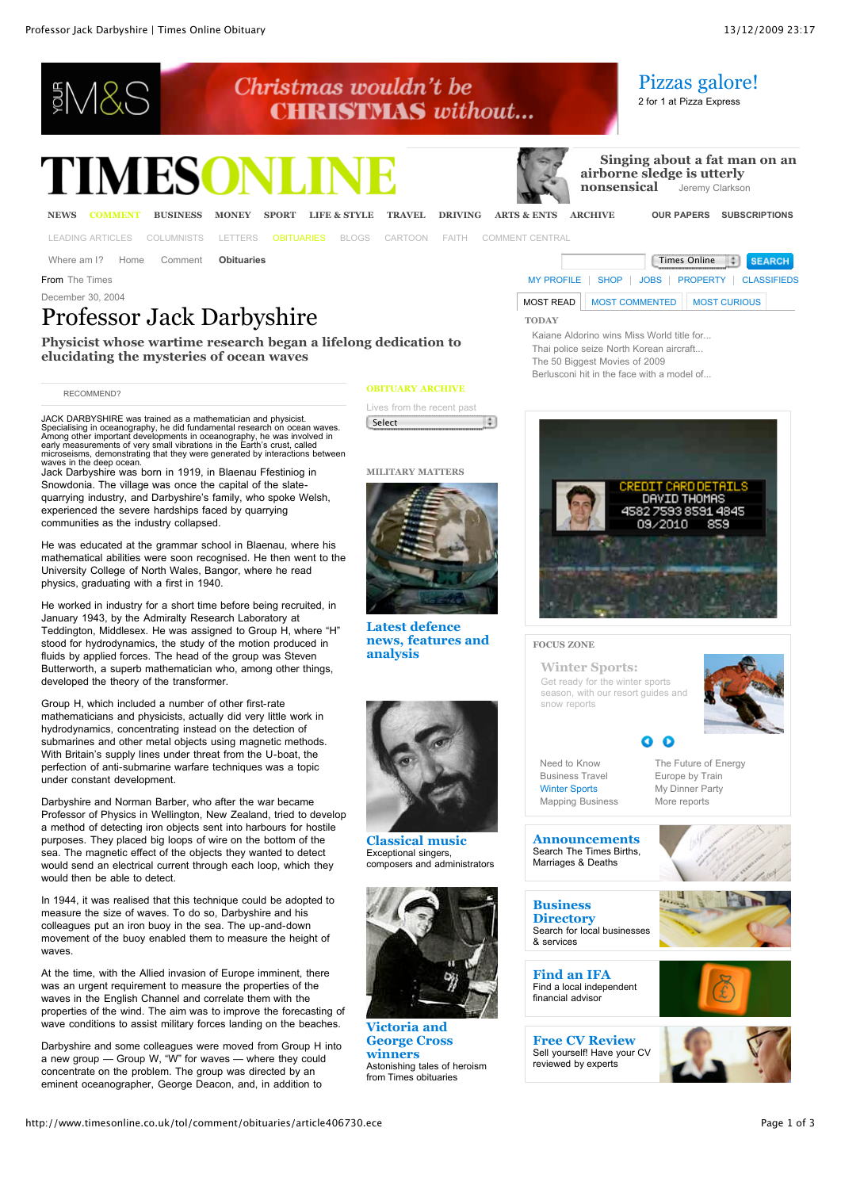# **ESNA**

# **MESC**



**TODAY**

 **[Singing about a fat man on an](http://www.timesonline.co.uk/tol/comment/columnists/jeremy_clarkson/article6954535.ece) airborne sledge is utterly nonsensical** Jeremy Clarkson

[Pizzas galore!](http://www.timesonline.co.uk/tol/life_and_style/food_and_drink/commercial/article6915590.ece) 2 for 1 at Pizza Express

[LEADING ARTICLES](http://www.timesonline.co.uk/tol/comment/leading_article/) [COLUMNISTS](http://www.timesonline.co.uk/tol/comment/columnists/) [LETTERS](http://www.timesonline.co.uk/tol/comment/letters/) [OBITUARIES](http://www.timesonline.co.uk/tol/comment/obituaries/) [BLOGS](http://www.timesonline.co.uk/tol/comment/blogs/) [CARTOON](http://www.timesonline.co.uk/tol/comment/cartoon/) [FAITH](http://www.timesonline.co.uk/tol/comment/faith/) [COMMENT CENTRAL](http://www.timesonline.typepad.com/comment/)

Where am I? [Home](http://www.timesonline.co.uk/tol/news/) [Comment](http://www.timesonline.co.uk/tol/comment/) **[Obituaries](http://www.timesonline.co.uk/tol/comment/obituaries/)** The Comment of Comment of Comment of Comment of Comment of Comment of Comment of Comment of Comment of Comment of Comment of Comment of Comment of Comment of Comment of Comment of Comm

From The Times **From The Times** [MY PROFILE](http://www.timesonline.co.uk/tol/tools_and_services/subscriptions/my_profile/) [SHOP](http://www.timesonline.co.uk/tol/classifieds/shop/) | [JOBS](http://jobs.timesonline.co.uk/) | [PROPERTY](http://www.timesonline.co.uk/property) | [CLASSIFIEDS](http://www.timesonline.co.uk/classifieds)

December 30, 2004

# Professor Jack Darbyshire

**Physicist whose wartime research began a lifelong dedication to elucidating the mysteries of ocean waves**

### [RECOMMEND?](http://www.timesonline.co.uk/tol/comment/obituaries/article406730.ece#none)

JACK DARBYSHIRE was trained as a mathematician and physicist. Specialising in oceanography, he did fundamental research on ocean waves.<br>Among other important developments in oceanography, he was involved in<br>early measurements of very small vibrations in the Earth's crust, called<br>micr

waves in the deep ocean. Jack Darbyshire was born in 1919, in Blaenau Ffestiniog in Snowdonia. The village was once the capital of the slatequarrying industry, and Darbyshire's family, who spoke Welsh, experienced the severe hardships faced by quarrying communities as the industry collapsed.

He was educated at the grammar school in Blaenau, where his mathematical abilities were soon recognised. He then went to the University College of North Wales, Bangor, where he read physics, graduating with a first in 1940.

He worked in industry for a short time before being recruited, in January 1943, by the Admiralty Research Laboratory at Teddington, Middlesex. He was assigned to Group H, where "H" stood for hydrodynamics, the study of the motion produced in fluids by applied forces. The head of the group was Steven Butterworth, a superb mathematician who, among other things, developed the theory of the transformer.

Group H, which included a number of other first-rate mathematicians and physicists, actually did very little work in hydrodynamics, concentrating instead on the detection of submarines and other metal objects using magnetic methods. With Britain's supply lines under threat from the U-boat, the perfection of anti-submarine warfare techniques was a topic under constant development.

Darbyshire and Norman Barber, who after the war became Professor of Physics in Wellington, New Zealand, tried to develop a method of detecting iron objects sent into harbours for hostile purposes. They placed big loops of wire on the bottom of the sea. The magnetic effect of the objects they wanted to detect would send an electrical current through each loop, which they would then be able to detect.

In 1944, it was realised that this technique could be adopted to measure the size of waves. To do so, Darbyshire and his colleagues put an iron buoy in the sea. The up-and-down movement of the buoy enabled them to measure the height of waves.

At the time, with the Allied invasion of Europe imminent, there was an urgent requirement to measure the properties of the waves in the English Channel and correlate them with the properties of the wind. The aim was to improve the forecasting of wave conditions to assist military forces landing on the beaches.

Darbyshire and some colleagues were moved from Group H into a new group — Group W, "W" for waves — where they could concentrate on the problem. The group was directed by an eminent oceanographer, George Deacon, and, in addition to

#### **OBITUARY ARCHIVE**

Christmas wouldn't be

**CHRISTMAS** without...

Lives from the recent past ÷. **Select** 

#### **MILITARY MATTERS**



**Latest defence [news, features and](http://www.timesonline.co.uk/tol/system/topicRoot/Military_matters/) analysis**



**[Classical music](http://www.timesonline.co.uk/tol/system/topicRoot/Music_Obituaries/)** Exceptional singers, composers and administrators



**Victoria and [George Cross](http://www.timesonline.co.uk/tol/system/topicRoot/Holders_of_the_Victoria_Cross/) winners** Astonishing tales of heroism from Times obituaries



MOST READ **MOST COMMENTED** MOST CURIOUS

[Kaiane Aldorino wins Miss World title for...](http://www.timesonline.co.uk/tol/news/uk/article6954972.ece) [Thai police seize North Korean aircraft...](http://www.timesonline.co.uk/tol/news/world/asia/article6954868.ece) [The 50 Biggest Movies of 2009](http://www.timesonline.co.uk/tol/arts_and_entertainment/film/article5089354.ece) [Berlusconi hit in the face with a model of...](http://www.timesonline.co.uk/tol/news/world/europe/article6955110.ece)

### **FOCUS ZONE**

**[Winter Sports:](http://www.timesonline.co.uk/tol/travel/winter_sports/)** Get ready for the winter sports season, with our resort guides and snow reports



[Need to Know](http://ad.doubleclick.net/clk;218769110;8943753;r?http://business.timesonline.co.uk/tol/business/industry_sectors/need_to_know/) [Business Travel](http://ad.doubleclick.net/clk;186097587;15479755;h?http://www.timesonline.co.uk/tol/travel/business/) [Winter Sports](http://www.timesonline.co.uk/tol/travel/winter_sports/) [Mapping Business](http://ad.doubleclick.net/clk;218942681;8943753;x?http://www.timesonline.co.uk/tol/business/related_reports/mapping_british_business/) [The Future of Energy](http://ad.doubleclick.net/clk;219136456;8943753;t?http://www.timesonline.co.uk/tol/business/related_reports/the_future_of_energy/) [Europe by Train](http://ad.doubleclick.net/clk;219630557;8943753;u?http://www.timesonline.co.uk/tol/business/related_reports/europe_by_train/) [My Dinner Party](http://ad.doubleclick.net/clk;219944523;8943753;v?http://www.timesonline.co.uk/tol/life_and_style/related_features/my_dinner_party/) [More reports](http://www.timesonline.co.uk/tol/life_and_style/related_features/)

 $\bullet$ G.

**[Announcements](http://timesonline.co.uk/announcements)** Search The Times Births, Marriages & Deaths

**Business [Directory](http://directory.timesonline.co.uk/)** Search for local businesses & services

**[Find an IFA](http://www.unbiased.co.uk/timesonline/)** Find a local independent financial advisor





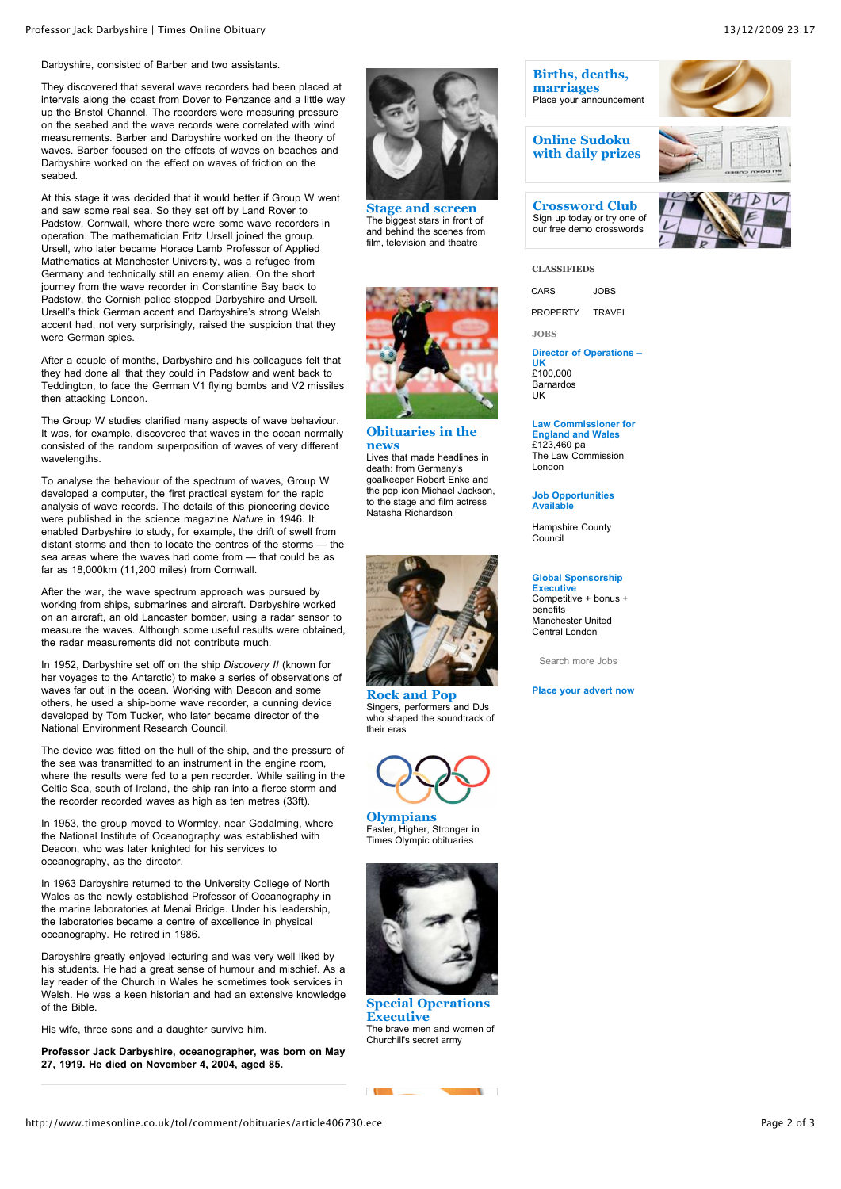#### Darbyshire, consisted of Barber and two assistants.

They discovered that several wave recorders had been placed at intervals along the coast from Dover to Penzance and a little way up the Bristol Channel. The recorders were measuring pressure on the seabed and the wave records were correlated with wind measurements. Barber and Darbyshire worked on the theory of waves. Barber focused on the effects of waves on beaches and Darbyshire worked on the effect on waves of friction on the seabed.

At this stage it was decided that it would better if Group W went and saw some real sea. So they set off by Land Rover to Padstow, Cornwall, where there were some wave recorders in operation. The mathematician Fritz Ursell joined the group. Ursell, who later became Horace Lamb Professor of Applied Mathematics at Manchester University, was a refugee from Germany and technically still an enemy alien. On the short journey from the wave recorder in Constantine Bay back to Padstow, the Cornish police stopped Darbyshire and Ursell. Ursell's thick German accent and Darbyshire's strong Welsh accent had, not very surprisingly, raised the suspicion that they were German spies.

After a couple of months, Darbyshire and his colleagues felt that they had done all that they could in Padstow and went back to Teddington, to face the German V1 flying bombs and V2 missiles then attacking London.

The Group W studies clarified many aspects of wave behaviour. It was, for example, discovered that waves in the ocean normally consisted of the random superposition of waves of very different wavelengths

To analyse the behaviour of the spectrum of waves, Group W developed a computer, the first practical system for the rapid analysis of wave records. The details of this pioneering device were published in the science magazine *Nature* in 1946. It enabled Darbyshire to study, for example, the drift of swell from distant storms and then to locate the centres of the storms — the sea areas where the waves had come from — that could be as far as 18,000km (11,200 miles) from Cornwall.

After the war, the wave spectrum approach was pursued by working from ships, submarines and aircraft. Darbyshire worked on an aircraft, an old Lancaster bomber, using a radar sensor to measure the waves. Although some useful results were obtained, the radar measurements did not contribute much.

In 1952, Darbyshire set off on the ship *Discovery II* (known for her voyages to the Antarctic) to make a series of observations of waves far out in the ocean. Working with Deacon and some others, he used a ship-borne wave recorder, a cunning device developed by Tom Tucker, who later became director of the National Environment Research Council.

The device was fitted on the hull of the ship, and the pressure of the sea was transmitted to an instrument in the engine room, where the results were fed to a pen recorder. While sailing in the Celtic Sea, south of Ireland, the ship ran into a fierce storm and the recorder recorded waves as high as ten metres (33ft).

In 1953, the group moved to Wormley, near Godalming, where the National Institute of Oceanography was established with Deacon, who was later knighted for his services to oceanography, as the director.

In 1963 Darbyshire returned to the University College of North Wales as the newly established Professor of Oceanography in the marine laboratories at Menai Bridge. Under his leadership, the laboratories became a centre of excellence in physical oceanography. He retired in 1986.

Darbyshire greatly enjoyed lecturing and was very well liked by his students. He had a great sense of humour and mischief. As a lay reader of the Church in Wales he sometimes took services in Welsh. He was a keen historian and had an extensive knowledge of the Bible.

His wife, three sons and a daughter survive him.

**Professor Jack Darbyshire, oceanographer, was born on May 27, 1919. He died on November 4, 2004, aged 85.**



**[Stage and screen](http://www.timesonline.co.uk/tol/system/topicRoot/Stage_and_Screen_/)** The biggest stars in front of and behind the scenes from film, television and theatre



**[Obituaries in the](http://www.timesonline.co.uk/tol/system/topicRoot/Obituaries_in_the_news) news** Lives that made headlines in death: from Germany's goalkeeper Robert Enke and the pop icon Michael Jackson, to the stage and film actress Natasha Richardson



**[Rock and Pop](http://www.timesonline.co.uk/tol/system/topicRoot/Rock_and_Pop/)** Singers, performers and DJs. who shaped the soundtrack of their eras



Faster, Higher, Stronger in Times Olympic obituaries



**[Special Operations](http://www.timesonline.co.uk/tol/system/topicRoot/SOE/) Executive** The brave men and women of Churchill's secret army

**COMPANY** 



**[Crossword Club](http://entertainment.timesonline.co.uk/tol/arts_and_entertainment/games_and_puzzles/crossword/)** Sign up today or try one of our free demo crosswords



# **[CLASSIFIEDS](http://www.timesonline.co.uk/tol/classifieds/)**

CARS JOBS PROPERTY TRAVEL

**JOBS**

**[Director of Operations –](http://jobs.timesonline.co.uk/job/383366/director-of-operations-uk) UK**

£100,000 Barnardos UK

#### **[Law Commissioner for](http://jobs.timesonline.co.uk/job/383680/law-commissioner-for-england-and-wales) England and Wales** £123,460 pa

The Law Commission London

**[Job Opportunities](http://jobs.timesonline.co.uk/employerjobs/hampshire-county-council/) Available**

Hampshire County Council

### **[Global Sponsorship](http://jobs.timesonline.co.uk/job/383458/global-sponsorship-executive)**

**Executive** Competitive + bonus + benefits Manchester United Central London

[Search more Jobs](http://jobs.timesonline.co.uk/Jobs/JobSearch.aspx)

#### **[Place your advert now](https://www.advertising.newsint.co.uk/webAdvertising/private/adManager)**

http://www.timesonline.co.uk/tol/comment/obituaries/article406730.ece Page 2 of 3